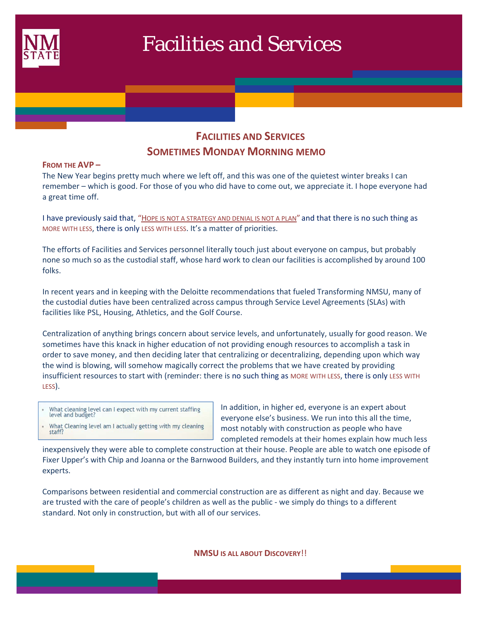

# Facilities and Services

## **FACILITIES AND SERVICES SOMETIMES MONDAY MORNING MEMO**

#### **FROM THE AVP –**

The New Year begins pretty much where we left off, and this was one of the quietest winter breaks I can remember – which is good. For those of you who did have to come out, we appreciate it. I hope everyone had a great time off.

I have previously said that, "HOPE IS NOT A STRATEGY AND DENIAL IS NOT A PLAN" and that there is no such thing as MORE WITH LESS, there is only LESS WITH LESS. It's a matter of priorities.

The efforts of Facilities and Services personnel literally touch just about everyone on campus, but probably none so much so as the custodial staff, whose hard work to clean our facilities is accomplished by around 100 folks.

In recent years and in keeping with the Deloitte recommendations that fueled Transforming NMSU, many of the custodial duties have been centralized across campus through Service Level Agreements (SLAs) with facilities like PSL, Housing, Athletics, and the Golf Course.

Centralization of anything brings concern about service levels, and unfortunately, usually for good reason. We sometimes have this knack in higher education of not providing enough resources to accomplish a task in order to save money, and then deciding later that centralizing or decentralizing, depending upon which way the wind is blowing, will somehow magically correct the problems that we have created by providing insufficient resources to start with (reminder: there is no such thing as MORE WITH LESS, there is only LESS WITH LESS).

- What cleaning level can I expect with my current staffing level and budget?
- What Cleaning level am I actually getting with my cleaning staff?

In addition, in higher ed, everyone is an expert about everyone else's business. We run into this all the time, most notably with construction as people who have completed remodels at their homes explain how much less

inexpensively they were able to complete construction at their house. People are able to watch one episode of Fixer Upper's with Chip and Joanna or the Barnwood Builders, and they instantly turn into home improvement experts.

Comparisons between residential and commercial construction are as different as night and day. Because we are trusted with the care of people's children as well as the public ‐ we simply do things to a different standard. Not only in construction, but with all of our services.

**NMSU IS ALL ABOUT DISCOVERY**!!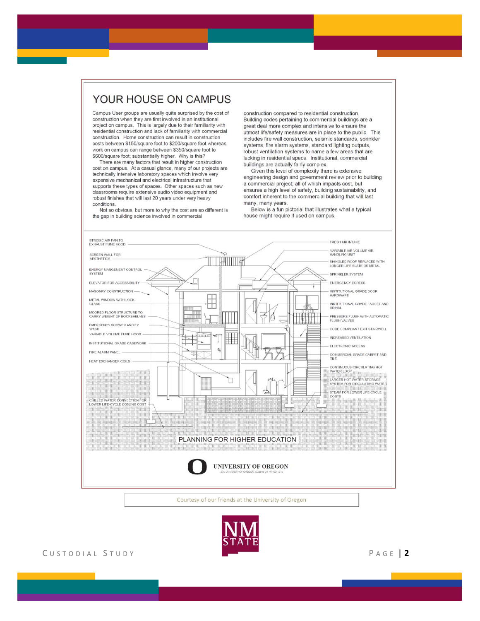### YOUR HOUSE ON CAMPUS

Campus User groups are usually quite surprised by the cost of construction when they are first involved in an institutional project on campus. This is largely due to their familiarity with residential construction and lack of familiarity with commercial construction. Home construction can result in construction costs between \$150/square foot to \$200/square foot whereas work on campus can range between \$350/square foot to \$600/square foot; substantially higher. Why is this?

There are many factors that result in higher construction cost on campus. At a casual glance, many of our projects are technically intensive laboratory spaces which involve very expensive mechanical and electrical infrastructure that supports these types of spaces. Other spaces such as new classrooms require extensive audio video equipment and robust finishes that will last 20 years under very heavy conditions

Not so obvious, but more to why the cost are so different is the gap in building science involved in commercial

construction compared to residential construction. Building codes pertaining to commercial buildings are a great deal more complex and intensive to ensure the utmost life/safety measures are in place to the public. This includes fire wall construction, seismic standards, sprinkler systems, fire alarm systems, standard lighting outputs, robust ventilation systems to name a few areas that are lacking in residential specs. Institutional, commercial buildings are actually fairly complex.

Given this level of complexity there is extensive engineering design and government review prior to building a commercial project; all of which impacts cost, but ensures a high level of safety, building sustainability, and comfort inherent to the commercial building that will last many, many years.

Below is a fun pictorial that illustrates what a typical house might require if used on campus.





CUSTODIAL STUDY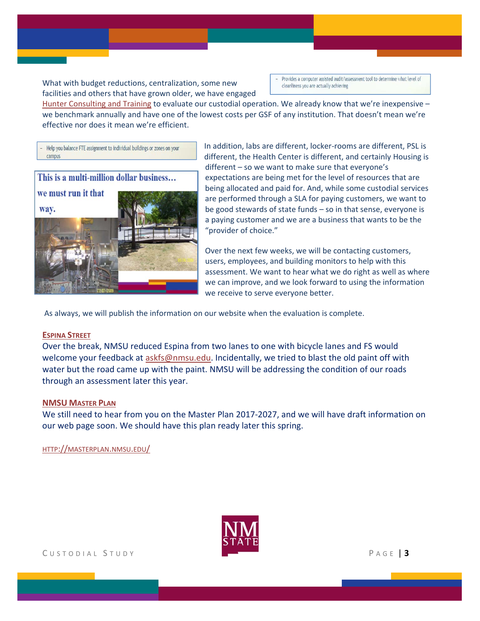What with budget reductions, centralization, some new facilities and others that have grown older, we have engaged Provides a computer assisted audit/assessment tool to determine what level of cleanliness you are actually achieving

Hunter Consulting and Training to evaluate our custodial operation. We already know that we're inexpensive – we benchmark annually and have one of the lowest costs per GSF of any institution. That doesn't mean we're effective nor does it mean we're efficient.

Help you balance FTE assignment to individual buildings or zones on your campus



In addition, labs are different, locker‐rooms are different, PSL is different, the Health Center is different, and certainly Housing is different – so we want to make sure that everyone's expectations are being met for the level of resources that are being allocated and paid for. And, while some custodial services are performed through a SLA for paying customers, we want to be good stewards of state funds – so in that sense, everyone is a paying customer and we are a business that wants to be the "provider of choice."

Over the next few weeks, we will be contacting customers, users, employees, and building monitors to help with this assessment. We want to hear what we do right as well as where we can improve, and we look forward to using the information we receive to serve everyone better.

As always, we will publish the information on our website when the evaluation is complete.

#### **ESPINA STREET**

Over the break, NMSU reduced Espina from two lanes to one with bicycle lanes and FS would welcome your feedback at askfs@nmsu.edu. Incidentally, we tried to blast the old paint off with water but the road came up with the paint. NMSU will be addressing the condition of our roads through an assessment later this year.

#### **NMSU MASTER PLAN**

We still need to hear from you on the Master Plan 2017‐2027, and we will have draft information on our web page soon. We should have this plan ready later this spring.

HTTP://MASTERPLAN.NMSU.EDU/